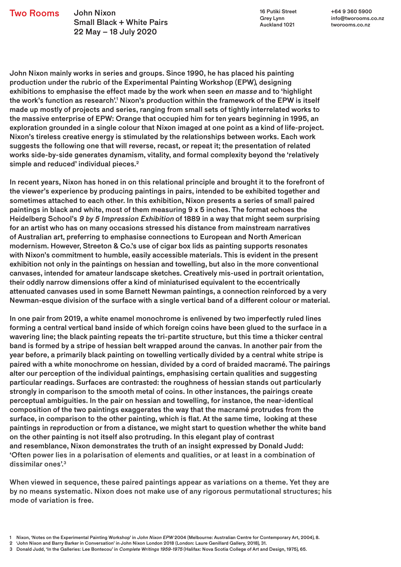John Nixon Small Black + White Pairs 22 May – 18 July 2020 **Two Rooms** John Nixon **16 Putiki Street** 

Grey Lynn Auckland 1021

+64 9 360 5900 info@tworooms.co.nz tworooms.co.nz

John Nixon mainly works in series and groups. Since 1990, he has placed his painting production under the rubric of the Experimental Painting Workshop (EPW), designing exhibitions to emphasise the effect made by the work when seen en masse and to 'highlight the work's function as research'.<sup>1</sup> Nixon's production within the framework of the EPW is itself made up mostly of projects and series, ranging from small sets of tightly interrelated works to the massive enterprise of EPW: Orange that occupied him for ten years beginning in 1995, an exploration grounded in a single colour that Nixon imaged at one point as a kind of life-project. Nixon's tireless creative energy is stimulated by the relationships between works. Each work suggests the following one that will reverse, recast, or repeat it; the presentation of related works side-by-side generates dynamism, vitality, and formal complexity beyond the 'relatively simple and reduced' individual pieces.<sup>2</sup>

In recent years, Nixon has honed in on this relational principle and brought it to the forefront of the viewer's experience by producing paintings in pairs, intended to be exhibited together and sometimes attached to each other. In this exhibition, Nixon presents a series of small paired paintings in black and white, most of them measuring 9 x 5 inches. The format echoes the Heidelberg School's 9 by 5 Impression Exhibition of 1889 in a way that might seem surprising for an artist who has on many occasions stressed his distance from mainstream narratives of Australian art, preferring to emphasise connections to European and North American modernism. However, Streeton & Co.'s use of cigar box lids as painting supports resonates with Nixon's commitment to humble, easily accessible materials. This is evident in the present exhibition not only in the paintings on hessian and towelling, but also in the more conventional canvases, intended for amateur landscape sketches. Creatively mis-used in portrait orientation, their oddly narrow dimensions offer a kind of miniaturised equivalent to the eccentrically attenuated canvases used in some Barnett Newman paintings, a connection reinforced by a very Newman-esque division of the surface with a single vertical band of a different colour or material.

In one pair from 2019, a white enamel monochrome is enlivened by two imperfectly ruled lines forming a central vertical band inside of which foreign coins have been glued to the surface in a wavering line; the black painting repeats the tri-partite structure, but this time a thicker central band is formed by a stripe of hessian belt wrapped around the canvas. In another pair from the year before, a primarily black painting on towelling vertically divided by a central white stripe is paired with a white monochrome on hessian, divided by a cord of braided macramé. The pairings alter our perception of the individual paintings, emphasising certain qualities and suggesting particular readings. Surfaces are contrasted: the roughness of hessian stands out particularly strongly in comparison to the smooth metal of coins. In other instances, the pairings create perceptual ambiguities. In the pair on hessian and towelling, for instance, the near-identical composition of the two paintings exaggerates the way that the macramé protrudes from the surface, in comparison to the other painting, which is flat. At the same time, looking at these paintings in reproduction or from a distance, we might start to question whether the white band on the other painting is not itself also protruding. In this elegant play of contrast and resemblance, Nixon demonstrates the truth of an insight expressed by Donald Judd: 'Often power lies in a polarisation of elements and qualities, or at least in a combination of dissimilar ones'.<sup>3</sup>

When viewed in sequence, these paired paintings appear as variations on a theme. Yet they are by no means systematic. Nixon does not make use of any rigorous permutational structures; his mode of variation is free.

<sup>1</sup> Nixon, 'Notes on the Experimental Painting Workshop' in John Nixon EPW 2004 (Melbourne: Australian Centre for Contemporary Art, 2004), 8.

<sup>2 &#</sup>x27;John Nixon and Barry Barker in Conversation' in John Nixon London 2018 (London: Laure Genillard Gallery, 2018), 31.

<sup>3</sup> Donald Judd, 'In the Galleries: Lee Bontecou' in Complete Writings 1959-1975 (Halifax: Nova Scotia College of Art and Design, 1975), 65.